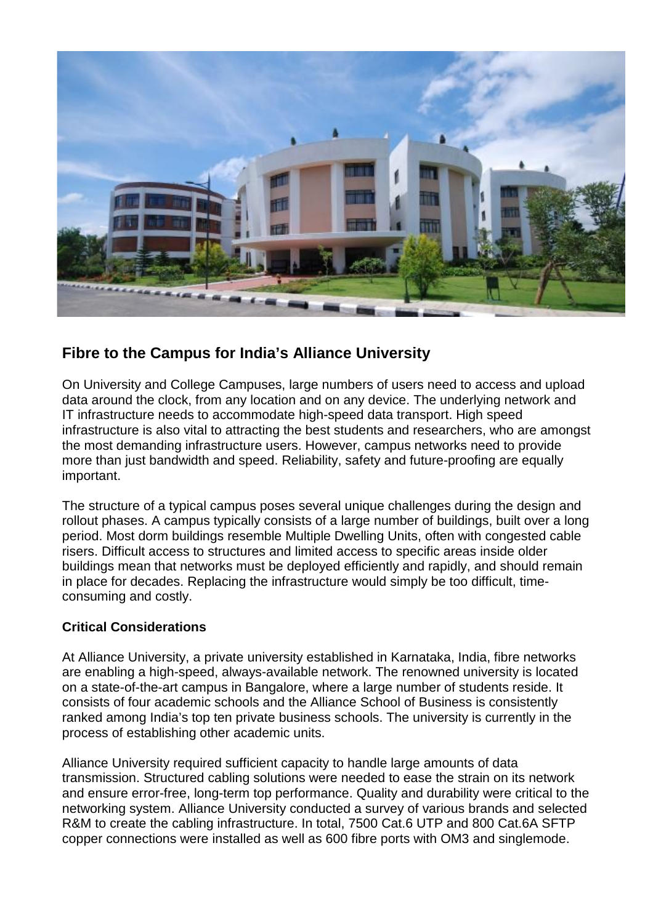

## **Fibre to the Campus for India's Alliance University**

On University and College Campuses, large numbers of users need to access and upload data around the clock, from any location and on any device. The underlying network and IT infrastructure needs to accommodate high-speed data transport. High speed infrastructure is also vital to attracting the best students and researchers, who are amongst the most demanding infrastructure users. However, campus networks need to provide more than just bandwidth and speed. Reliability, safety and future-proofing are equally important.

The structure of a typical campus poses several unique challenges during the design and rollout phases. A campus typically consists of a large number of buildings, built over a long period. Most dorm buildings resemble Multiple Dwelling Units, often with congested cable risers. Difficult access to structures and limited access to specific areas inside older buildings mean that networks must be deployed efficiently and rapidly, and should remain in place for decades. Replacing the infrastructure would simply be too difficult, timeconsuming and costly.

## **Critical Considerations**

At Alliance University, a private university established in Karnataka, India, fibre networks are enabling a high-speed, always-available network. The renowned university is located on a state-of-the-art campus in Bangalore, where a large number of students reside. It consists of four academic schools and the Alliance School of Business is consistently ranked among India's top ten private business schools. The university is currently in the process of establishing other academic units.

Alliance University required sufficient capacity to handle large amounts of data transmission. Structured cabling solutions were needed to ease the strain on its network and ensure error-free, long-term top performance. Quality and durability were critical to the networking system. Alliance University conducted a survey of various brands and selected R&M to create the cabling infrastructure. In total, 7500 Cat.6 UTP and 800 Cat.6A SFTP copper connections were installed as well as 600 fibre ports with OM3 and singlemode.